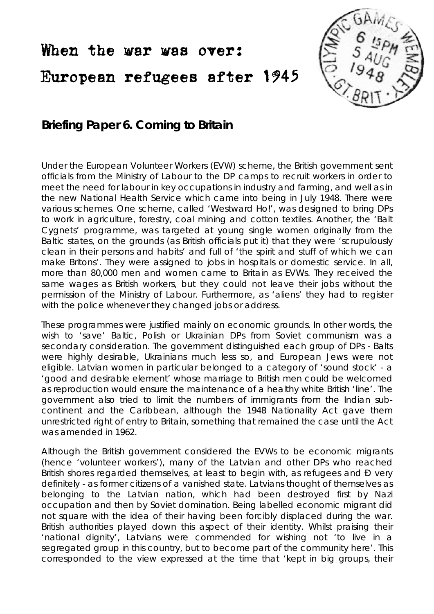## When the war was over: European refugees after 1945



## **Briefing Paper 6. Coming to Britain**

Under the European Volunteer Workers (EVW) scheme, the British government sent officials from the Ministry of Labour to the DP camps to recruit workers in order to meet the need for labour in key occupations in industry and farming, and well as in the new National Health Service which came into being in July 1948. There were various schemes. One scheme, called 'Westward Ho!', was designed to bring DPs to work in agriculture, forestry, coal mining and cotton textiles. Another, the 'Balt Cygnets' programme, was targeted at young single women originally from the Baltic states, on the grounds (as British officials put it) that they were 'scrupulously clean in their persons and habits' and full of 'the spirit and stuff of which we can make Britons'. They were assigned to jobs in hospitals or domestic service. In all, more than 80,000 men and women came to Britain as EVWs. They received the same wages as British workers, but they could not leave their jobs without the permission of the Ministry of Labour. Furthermore, as 'aliens' they had to register with the police whenever they changed jobs or address.

These programmes were justified mainly on economic grounds. In other words, the wish to 'save' Baltic, Polish or Ukrainian DPs from Soviet communism was a secondary consideration. The government distinguished each group of DPs - Balts were highly desirable, Ukrainians much less so, and European Jews were not eligible. Latvian women in particular belonged to a category of 'sound stock' - a 'good and desirable element' whose marriage to British men could be welcomed as reproduction would ensure the maintenance of a healthy white British 'line'. The government also tried to limit the numbers of immigrants from the Indian subcontinent and the Caribbean, although the 1948 Nationality Act gave them unrestricted right of entry to Britain, something that remained the case until the Act was amended in 1962.

Although the British government considered the EVWs to be economic migrants (hence 'volunteer workers'), many of the Latvian and other DPs who reached British shores regarded themselves, at least to begin with, as refugees and Ð very definitely - as former citizens of a vanished state. Latvians thought of themselves as belonging to the Latvian nation, which had been destroyed first by Nazi occupation and then by Soviet domination. Being labelled economic migrant did not square with the idea of their having been forcibly displaced during the war. British authorities played down this aspect of their identity. Whilst praising their 'national dignity', Latvians were commended for wishing not 'to live in a segregated group in this country, but to become part of the community here'. This corresponded to the view expressed at the time that 'kept in big groups, their